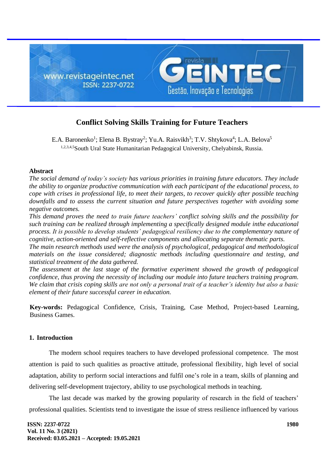

# **Conflict Solving Skills Training for Future Teachers**

E.A. Baronenko<sup>1</sup>; Elena B. Bystray<sup>2</sup>; Yu.A. Raisvikh<sup>3</sup>; T.V. Shtykova<sup>4</sup>; L.A. Belova<sup>5</sup> 1,2,3,4,5South Ural State Humanitarian Pedagogical University, Chelyabinsk, Russia.

# **Abstract**

*The social demand of today's society has various priorities in training future educators. They include the ability to organize productive communication with each participant of the educational process, to cope with crises in professional life, to meet their targets, to recover quickly after possible teaching downfalls and to assess the current situation and future perspectives together with avoiding some negative outcomes.*

*This demand proves the need to train future teachers' conflict solving skills and the possibility for such training can be realized through implementing a specifically designed module inthe educational process. It is possible to develop students' pedagogical resiliency due to the complementary nature of cognitive, action-oriented and self-reflective components and allocating separate thematic parts.*

*The main research methods used were the analysis of psychological, pedagogical and methodological materials on the issue considered; diagnostic methods including questionnaire and testing, and statistical treatment of the data gathered.*

*The assessment at the last stage of the formative experiment showed the growth of pedagogical confidence, thus proving the necessity of including our module into future teachers training program. We claim that crisis coping skills are not only a personal trait of a teacher's identity but also a basic element of their future successful career in education.*

**Key-words:** Pedagogical Confidence, Crisis, Training, Case Method, Project-based Learning, Business Games.

# **1. Introduction**

The modern school requires teachers to have developed professional competence. The most attention is paid to such qualities as proactive attitude, professional flexibility, high level of social adaptation, ability to perform social interactions and fulfil one's role in a team, skills of planning and delivering self-development trajectory, ability to use psychological methods in teaching.

The last decade was marked by the growing popularity of research in the field of teachers' professional qualities. Scientists tend to investigate the issue of stress resilience influenced by various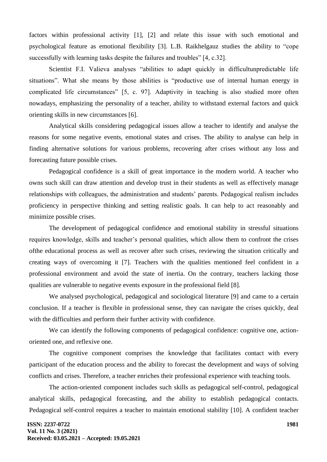factors within professional activity [1], [2] and relate this issue with such emotional and psychological feature as emotional flexibility [3]. L.B. Raikhelgauz studies the ability to "cope successfully with learning tasks despite the failures and troubles" [4, c.32].

Scientist F.I. Valieva analyses "abilities to adapt quickly in difficultunpredictable life situations". What she means by those abilities is "productive use of internal human energy in complicated life circumstances" [5, с. 97]. Adaptivity in teaching is also studied more often nowadays, emphasizing the personality of a teacher, ability to withstand external factors and quick orienting skills in new circumstances [6].

Analytical skills considering pedagogical issues allow a teacher to identify and analyse the reasons for some negative events, emotional states and crises. The ability to analyse can help in finding alternative solutions for various problems, recovering after crises without any loss and forecasting future possible crises.

Pedagogical confidence is a skill of great importance in the modern world. A teacher who owns such skill can draw attention and develop trust in their students as well as effectively manage relationships with colleagues, the administration and students' parents. Pedagogical realism includes proficiency in perspective thinking and setting realistic goals. It can help to act reasonably and minimize possible crises.

The development of pedagogical confidence and emotional stability in stressful situations requires knowledge, skills and teacher's personal qualities, which allow them to confront the crises ofthe educational process as well as recover after such crises, reviewing the situation critically and creating ways of overcoming it [7]. Teachers with the qualities mentioned feel confident in a professional environment and avoid the state of inertia. On the contrary, teachers lacking those qualities are vulnerable to negative events exposure in the professional field [8].

We analysed psychological, pedagogical and sociological literature [9] and came to a certain conclusion. If a teacher is flexible in professional sense, they can navigate the crises quickly, deal with the difficulties and perform their further activity with confidence.

We can identify the following components of pedagogical confidence: cognitive one, actionoriented one, and reflexive one.

The cognitive component comprises the knowledge that facilitates contact with every participant of the education process and the ability to forecast the development and ways of solving conflicts and crises. Therefore, a teacher enriches their professional experience with teaching tools.

The action-oriented component includes such skills as pedagogical self-control, pedagogical analytical skills, pedagogical forecasting, and the ability to establish pedagogical contacts. Pedagogical self-control requires a teacher to maintain emotional stability [10]. A confident teacher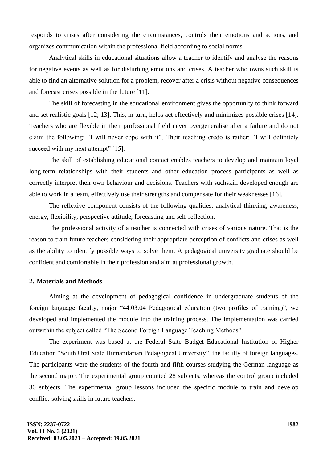responds to crises after considering the circumstances, controls their emotions and actions, and organizes communication within the professional field according to social norms.

Analytical skills in educational situations allow a teacher to identify and analyse the reasons for negative events as well as for disturbing emotions and crises. A teacher who owns such skill is able to find an alternative solution for a problem, recover after a crisis without negative consequences and forecast crises possible in the future [11].

The skill of forecasting in the educational environment gives the opportunity to think forward and set realistic goals [12; 13]. This, in turn, helps act effectively and minimizes possible crises [14]. Teachers who are flexible in their professional field never overgeneralise after a failure and do not claim the following: "I will never cope with it". Their teaching credo is rather: "I will definitely succeed with my next attempt" [15].

The skill of establishing educational contact enables teachers to develop and maintain loyal long-term relationships with their students and other education process participants as well as correctly interpret their own behaviour and decisions. Teachers with suchskill developed enough are able to work in a team, effectively use their strengths and compensate for their weaknesses [16].

The reflexive component consists of the following qualities: analytical thinking, awareness, energy, flexibility, perspective attitude, forecasting and self-reflection.

The professional activity of a teacher is connected with crises of various nature. That is the reason to train future teachers considering their appropriate perception of conflicts and crises as well as the ability to identify possible ways to solve them. A pedagogical university graduate should be confident and comfortable in their profession and aim at professional growth.

# **2. Materials and Methods**

Aiming at the development of pedagogical confidence in undergraduate students of the foreign language faculty, major "44.03.04 Pedagogical education (two profiles of training)", we developed and implemented the module into the training process. The implementation was carried outwithin the subject called "The Second Foreign Language Teaching Methods".

The experiment was based at the Federal State Budget Educational Institution of Higher Education "South Ural State Humanitarian Pedagogical University", the faculty of foreign languages. The participants were the students of the fourth and fifth courses studying the German language as the second major. The experimental group counted 28 subjects, whereas the control group included 30 subjects. The experimental group lessons included the specific module to train and develop conflict-solving skills in future teachers.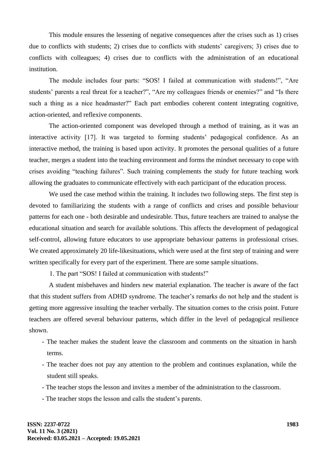This module ensures the lessening of negative consequences after the crises such as 1) crises due to conflicts with students; 2) crises due to conflicts with students' caregivers; 3) crises due to conflicts with colleagues; 4) crises due to conflicts with the administration of an educational institution.

The module includes four parts: "SOS! I failed at communication with students!", "Are students' parents a real threat for a teacher?", "Are my colleagues friends or enemies?" and "Is there such a thing as a nice headmaster?" Each part embodies coherent content integrating cognitive, action-oriented, and reflexive components.

The action-oriented component was developed through a method of training, as it was an interactive activity [17]. It was targeted to forming students' pedagogical confidence. As an interactive method, the training is based upon activity. It promotes the personal qualities of a future teacher, merges a student into the teaching environment and forms the mindset necessary to cope with crises avoiding "teaching failures". Such training complements the study for future teaching work allowing the graduates to communicate effectively with each participant of the education process.

We used the case method within the training. It includes two following steps. The first step is devoted to familiarizing the students with a range of conflicts and crises and possible behaviour patterns for each one - both desirable and undesirable. Thus, future teachers are trained to analyse the educational situation and search for available solutions. This affects the development of pedagogical self-control, allowing future educators to use appropriate behaviour patterns in professional crises. We created approximately 20 life-likesituations, which were used at the first step of training and were written specifically for every part of the experiment. There are some sample situations.

1. The part "SOS! I failed at communication with students!"

A student misbehaves and hinders new material explanation. The teacher is aware of the fact that this student suffers from ADHD syndrome. The teacher's remarks do not help and the student is getting more aggressive insulting the teacher verbally. The situation comes to the crisis point. Future teachers are offered several behaviour patterns, which differ in the level of pedagogical resilience shown.

- The teacher makes the student leave the classroom and comments on the situation in harsh terms.
- The teacher does not pay any attention to the problem and continues explanation, while the student still speaks.
- The teacher stops the lesson and invites a member of the administration to the classroom.
- The teacher stops the lesson and calls the student's parents.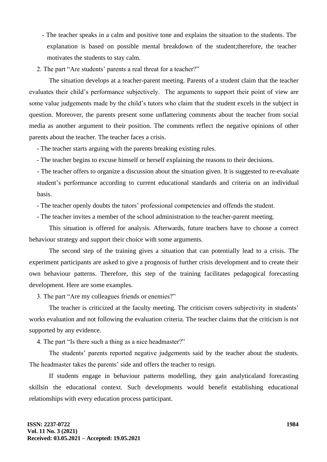- The teacher speaks in a calm and positive tone and explains the situation to the students. The explanation is based on possible mental breakdown of the student;therefore, the teacher motivates the students to stay calm.
- 2. The part "Are students' parents a real threat for a teacher?"

The situation develops at a teacher-parent meeting. Parents of a student claim that the teacher evaluates their child's performance subjectively. The arguments to support their point of view are some value judgements made by the child's tutors who claim that the student excels in the subject in question. Moreover, the parents present some unflattering comments about the teacher from social media as another argument to their position. The comments reflect the negative opinions of other parents about the teacher. The teacher faces a crisis.

- The teacher starts arguing with the parents breaking existing rules.

- The teacher begins to excuse himself or herself explaining the reasons to their decisions.

- The teacher offers to organize a discussion about the situation given. It is suggested to re-evaluate student's performance according to current educational standards and criteria on an individual basis.

- The teacher openly doubts the tutors' professional competencies and offends the student.

- The teacher invites a member of the school administration to the teacher-parent meeting.

This situation is offered for analysis. Afterwards, future teachers have to choose a correct behaviour strategy and support their choice with some arguments.

The second step of the training gives a situation that can potentially lead to a crisis. The experiment participants are asked to give a prognosis of further crisis development and to create their own behaviour patterns. Therefore, this step of the training facilitates pedagogical forecasting development. Here are some examples.

3. The part "Are my colleagues friends or enemies?"

The teacher is criticized at the faculty meeting. The criticism covers subjectivity in students' works evaluation and not following the evaluation criteria. The teacher claims that the criticism is not supported by any evidence.

4. The part "Is there such a thing as a nice headmaster?"

The students' parents reported negative judgements said by the teacher about the students. The headmaster takes the parents' side and offers the teacher to resign.

If students engage in behaviour patterns modelling, they gain analyticaland forecasting skillsin the educational context. Such developments would benefit establishing educational relationships with every education process participant.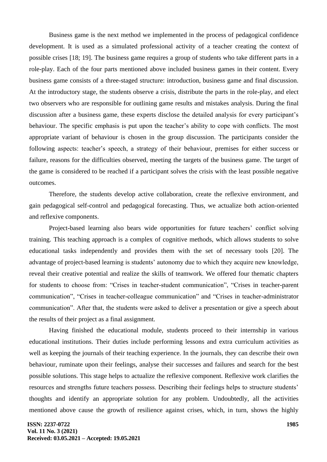Business game is the next method we implemented in the process of pedagogical confidence development. It is used as a simulated professional activity of a teacher creating the context of possible crises [18; 19]. The business game requires a group of students who take different parts in a role-play. Each of the four parts mentioned above included business games in their content. Every business game consists of a three-staged structure: introduction, business game and final discussion. At the introductory stage, the students observe a crisis, distribute the parts in the role-play, and elect two observers who are responsible for outlining game results and mistakes analysis. During the final discussion after a business game, these experts disclose the detailed analysis for every participant's behaviour. The specific emphasis is put upon the teacher's ability to cope with conflicts. The most appropriate variant of behaviour is chosen in the group discussion. The participants consider the following aspects: teacher's speech, a strategy of their behaviour, premises for either success or failure, reasons for the difficulties observed, meeting the targets of the business game. The target of the game is considered to be reached if a participant solves the crisis with the least possible negative outcomes.

Therefore, the students develop active collaboration, create the reflexive environment, and gain pedagogical self-control and pedagogical forecasting. Thus, we actualize both action-oriented and reflexive components.

Project-based learning also bears wide opportunities for future teachers' conflict solving training. This teaching approach is a complex of cognitive methods, which allows students to solve educational tasks independently and provides them with the set of necessary tools [20]. The advantage of project-based learning is students' autonomy due to which they acquire new knowledge, reveal their creative potential and realize the skills of teamwork. We offered four thematic chapters for students to choose from: "Crises in teacher-student communication", "Crises in teacher-parent communication", "Crises in teacher-colleague communication" and "Crises in teacher-administrator communication". After that, the students were asked to deliver a presentation or give a speech about the results of their project as a final assignment.

Having finished the educational module, students proceed to their internship in various educational institutions. Their duties include performing lessons and extra curriculum activities as well as keeping the journals of their teaching experience. In the journals, they can describe their own behaviour, ruminate upon their feelings, analyse their successes and failures and search for the best possible solutions. This stage helps to actualize the reflexive component. Reflexive work clarifies the resources and strengths future teachers possess. Describing their feelings helps to structure students' thoughts and identify an appropriate solution for any problem. Undoubtedly, all the activities mentioned above cause the growth of resilience against crises, which, in turn, shows the highly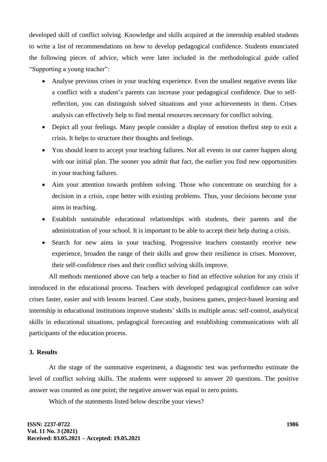developed skill of conflict solving. Knowledge and skills acquired at the internship enabled students to write a list of recommendations on how to develop pedagogical confidence. Students enunciated the following pieces of advice, which were later included in the methodological guide called "Supporting a young teacher":

- Analyse previous crises in your teaching experience. Even the smallest negative events like a conflict with a student's parents can increase your pedagogical confidence. Due to selfreflection, you can distinguish solved situations and your achievements in them. Crises analysis can effectively help to find mental resources necessary for conflict solving.
- Depict all your feelings. Many people consider a display of emotion thefirst step to exit a crisis. It helps to structure their thoughts and feelings.
- You should learn to accept your teaching failures. Not all events in our career happen along with our initial plan. The sooner you admit that fact, the earlier you find new opportunities in your teaching failures.
- Aim your attention towards problem solving. Those who concentrate on searching for a decision in a crisis, cope better with existing problems. Thus, your decisions become your aims in teaching.
- Establish sustainable educational relationships with students, their parents and the administration of your school. It is important to be able to accept their help during a crisis.
- Search for new aims in your teaching. Progressive teachers constantly receive new experience, broaden the range of their skills and grow their resilience in crises. Moreover, their self-confidence rises and their conflict solving skills improve.

All methods mentioned above can help a teacher to find an effective solution for any crisis if introduced in the educational process. Teachers with developed pedagogical confidence can solve crises faster, easier and with lessons learned. Case study, business games, project-based learning and internship in educational institutions improve students' skills in multiple areas: self-control, analytical skills in educational situations, pedagogical forecasting and establishing communications with all participants of the education process.

### **3. Results**

At the stage of the summative experiment, a diagnostic test was performedto estimate the level of conflict solving skills. The students were supposed to answer 20 questions. The positive answer was counted as one point; the negative answer was equal to zero points.

Which of the statements listed below describe your views?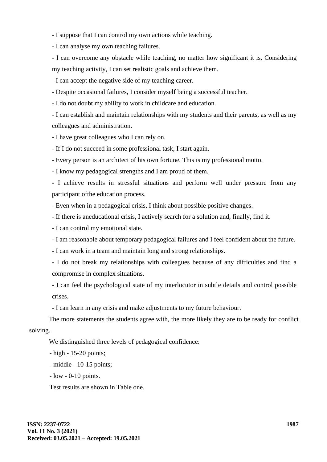- I suppose that I can control my own actions while teaching.

- I can analyse my own teaching failures.

- I can overcome any obstacle while teaching, no matter how significant it is. Considering my teaching activity, I can set realistic goals and achieve them.

- I can accept the negative side of my teaching career.

- Despite occasional failures, I consider myself being a successful teacher.

- I do not doubt my ability to work in childcare and education.

- I can establish and maintain relationships with my students and their parents, as well as my colleagues and administration.

- I have great colleagues who I can rely on.

- If I do not succeed in some professional task, I start again.

- Every person is an architect of his own fortune. This is my professional motto.

- I know my pedagogical strengths and I am proud of them.

- I achieve results in stressful situations and perform well under pressure from any participant ofthe education process.

- Even when in a pedagogical crisis, I think about possible positive changes.

- If there is aneducational crisis, I actively search for a solution and, finally, find it.

- I can control my emotional state.

- I am reasonable about temporary pedagogical failures and I feel confident about the future.

- I can work in a team and maintain long and strong relationships.

- I do not break my relationships with colleagues because of any difficulties and find a compromise in complex situations.

- I can feel the psychological state of my interlocutor in subtle details and control possible crises.

- I can learn in any crisis and make adjustments to my future behaviour.

The more statements the students agree with, the more likely they are to be ready for conflict solving.

We distinguished three levels of pedagogical confidence:

- high - 15-20 points;

- middle - 10-15 points;

- low - 0-10 points.

Test results are shown in Table one.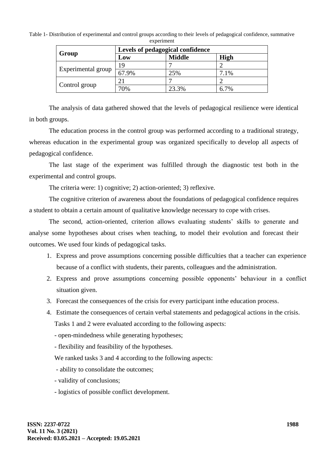Table 1- Distribution of experimental and control groups according to their levels of pedagogical confidence, summative  $experiment$ 

| Group              | Levels of pedagogical confidence |               |             |  |
|--------------------|----------------------------------|---------------|-------------|--|
|                    | Low                              | <b>Middle</b> | <b>High</b> |  |
| Experimental group | 19                               |               |             |  |
|                    | 67.9%                            | 25%           | 7.1%        |  |
| Control group      | 21                               | ┍             |             |  |
|                    | 70%                              | 23.3%         | 6.7%        |  |

The analysis of data gathered showed that the levels of pedagogical resilience were identical in both groups.

The education process in the control group was performed according to a traditional strategy, whereas education in the experimental group was organized specifically to develop all aspects of pedagogical confidence.

The last stage of the experiment was fulfilled through the diagnostic test both in the experimental and control groups.

The criteria were: 1) cognitive; 2) action-oriented; 3) reflexive.

The cognitive criterion of awareness about the foundations of pedagogical confidence requires a student to obtain a certain amount of qualitative knowledge necessary to cope with crises.

The second, action-oriented, criterion allows evaluating students' skills to generate and analyse some hypotheses about crises when teaching, to model their evolution and forecast their outcomes. We used four kinds of pedagogical tasks.

- 1. Express and prove assumptions concerning possible difficulties that a teacher can experience because of a conflict with students, their parents, colleagues and the administration.
- 2. Express and prove assumptions concerning possible opponents' behaviour in a conflict situation given.
- 3. Forecast the consequences of the crisis for every participant inthe education process.
- 4. Estimate the consequences of certain verbal statements and pedagogical actions in the crisis. Tasks 1 and 2 were evaluated according to the following aspects:

- open-mindedness while generating hypotheses;

- flexibility and feasibility of the hypotheses.

We ranked tasks 3 and 4 according to the following aspects:

- ability to consolidate the outcomes;

- validity of conclusions;
- logistics of possible conflict development.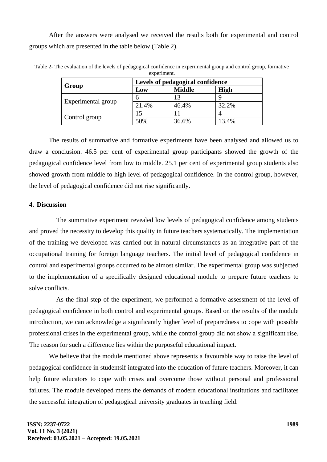After the answers were analysed we received the results both for experimental and control groups which are presented in the table below (Table 2).

|                    | Levels of pedagogical confidence |               |             |
|--------------------|----------------------------------|---------------|-------------|
| Group              | Low                              | <b>Middle</b> | <b>High</b> |
|                    |                                  |               |             |
| Experimental group | 21.4%                            | 46.4%         | 32.2%       |
|                    |                                  |               |             |
| Control group      | 50%                              | 36.6%         | 13.4%       |

Table 2- The evaluation of the levels of pedagogical confidence in experimental group and control group, formative experiment.

The results of summative and formative experiments have been analysed and allowed us to draw a conclusion. 46.5 per cent of experimental group participants showed the growth of the pedagogical confidence level from low to middle. 25.1 per cent of experimental group students also showed growth from middle to high level of pedagogical confidence. In the control group, however, the level of pedagogical confidence did not rise significantly.

### **4. Discussion**

The summative experiment revealed low levels of pedagogical confidence among students and proved the necessity to develop this quality in future teachers systematically. The implementation of the training we developed was carried out in natural circumstances as an integrative part of the occupational training for foreign language teachers. The initial level of pedagogical confidence in control and experimental groups occurred to be almost similar. The experimental group was subjected to the implementation of a specifically designed educational module to prepare future teachers to solve conflicts.

As the final step of the experiment, we performed a formative assessment of the level of pedagogical confidence in both control and experimental groups. Based on the results of the module introduction, we can acknowledge a significantly higher level of preparedness to cope with possible professional crises in the experimental group, while the control group did not show a significant rise. The reason for such a difference lies within the purposeful educational impact.

We believe that the module mentioned above represents a favourable way to raise the level of pedagogical confidence in studentsif integrated into the education of future teachers. Moreover, it can help future educators to cope with crises and overcome those without personal and professional failures. The module developed meets the demands of modern educational institutions and facilitates the successful integration of pedagogical university graduates in teaching field.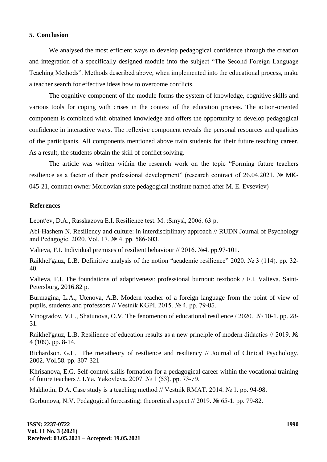# **5. Conclusion**

We analysed the most efficient ways to develop pedagogical confidence through the creation and integration of a specifically designed module into the subject "The Second Foreign Language Teaching Methods". Methods described above, when implemented into the educational process, make a teacher search for effective ideas how to overcome conflicts.

The cognitive component of the module forms the system of knowledge, cognitive skills and various tools for coping with crises in the context of the education process. The action-oriented component is combined with obtained knowledge and offers the opportunity to develop pedagogical confidence in interactive ways. The reflexive component reveals the personal resources and qualities of the participants. All components mentioned above train students for their future teaching career. As a result, the students obtain the skill of conflict solving.

The article was written within the research work on the topic "Forming future teachers resilience as a factor of their professional development" (research contract of 26.04.2021, № MK-045-21, contract owner Mordovian state pedagogical institute named after M. E. Evseviev)

#### **References**

Leont'ev, D.A., Rasskazova E.I. Resilience test. M. : Smysl, 2006. 63 p.

Abi-Hashem N. Resiliency and culture: in interdisciplinary approach // RUDN Journal of Psychology and Pedagogic. 2020. Vol. 17. № 4. pp. 586-603.

Valieva, F.I. Individual premises of resilient behaviour // 2016. №4. pp.97-101.

Raikhel'gauz, L.B. Definitive analysis of the notion "academic resilience" 2020. № 3 (114). pp. 32-40.

Valieva, F.I. The foundations of adaptiveness: professional burnout: textbook / F.I. Valieva. Saint-Petersburg, 2016.82 p.

Burmagina, L.A., Utenova, A.B. Modern teacher of a foreign language from the point of view of pupils, students and professors // Vestnik KGPI. 2015. № 4. pp. 79-85.

Vinogradov, V.L., Shatunova, O.V. The fenomenon of educational resilience / 2020. № 10-1. pp. 28- 31.

Raikhel'gauz, L.B. Resilience of education results as a new principle of modern didactics // 2019. № 4 (109). pp. 8-14.

Richardson. G.E. The metatheory of resilience and resiliency // Journal of Clinical Psychology. 2002. Vol.58. pp. 307-321

Khrisanova, E.G. Self-control skills formation for a pedagogical career within the vocational training of future teachers /. I.Ya. Yakovleva. 2007. № 1 (53). pp. 73-79.

Makhotin, D.A. Case study is a teaching method // Vestnik RMAT. 2014. № 1. pp. 94-98.

Gorbunova, N.V. Pedagogical forecasting: theoretical aspect // 2019. № 65-1. pp. 79-82.